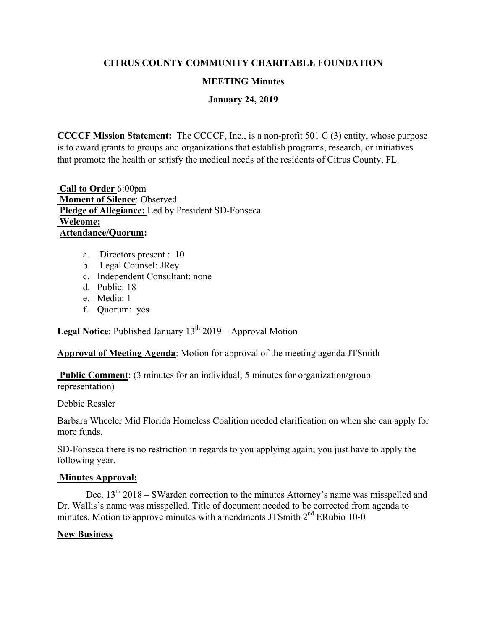### **CITRUS COUNTY COMMUNITY CHARITABLE FOUNDATION**

#### **MEETING Minutes**

### **January 24, 2019**

**CCCCF Mission Statement:** The CCCCF, Inc., is a non-profit 501 C (3) entity, whose purpose is to award grants to groups and organizations that establish programs, research, or initiatives that promote the health or satisfy the medical needs of the residents of Citrus County, FL.

 **Call to Order** 6:00pm  **Moment of Silence**: Observed **Pledge of Allegiance:** Led by President SD-Fonseca  **Welcome: Attendance/Quorum:** 

- a. Directors present : 10
- b. Legal Counsel: JRey
- c. Independent Consultant: none
- d. Public: 18
- e. Media: 1
- f. Quorum: yes

**Legal Notice**: Published January 13<sup>th</sup> 2019 – Approval Motion

**Approval of Meeting Agenda**: Motion for approval of the meeting agenda JTSmith

**Public Comment:** (3 minutes for an individual; 5 minutes for organization/group representation)

Debbie Ressler

Barbara Wheeler Mid Florida Homeless Coalition needed clarification on when she can apply for more funds.

SD-Fonseca there is no restriction in regards to you applying again; you just have to apply the following year.

#### **Minutes Approval:**

Dec.  $13<sup>th</sup> 2018 - SWarden correction to the minutes Attoney's name was misspelled and$ Dr. Wallis's name was misspelled. Title of document needed to be corrected from agenda to minutes. Motion to approve minutes with amendments JTSmith  $2<sup>nd</sup>$  ERubio 10-0

#### **New Business**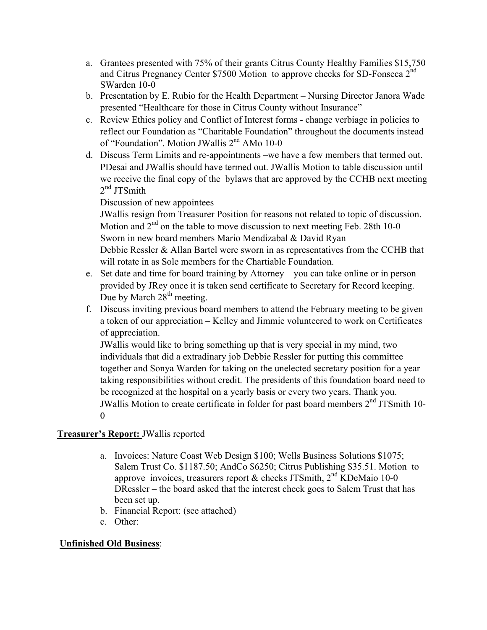- a. Grantees presented with 75% of their grants Citrus County Healthy Families \$15,750 and Citrus Pregnancy Center \$7500 Motion to approve checks for SD-Fonseca 2<sup>nd</sup> SWarden 10-0
- b. Presentation by E. Rubio for the Health Department Nursing Director Janora Wade presented "Healthcare for those in Citrus County without Insurance"
- c. Review Ethics policy and Conflict of Interest forms change verbiage in policies to reflect our Foundation as "Charitable Foundation" throughout the documents instead of "Foundation". Motion JWallis 2<sup>nd</sup> AMo 10-0
- d. Discuss Term Limits and re-appointments –we have a few members that termed out. PDesai and JWallis should have termed out. JWallis Motion to table discussion until we receive the final copy of the bylaws that are approved by the CCHB next meeting  $2<sup>nd</sup>$  JTSmith

## Discussion of new appointees

JWallis resign from Treasurer Position for reasons not related to topic of discussion. Motion and  $2^{nd}$  on the table to move discussion to next meeting Feb. 28th 10-0 Sworn in new board members Mario Mendizabal & David Ryan Debbie Ressler & Allan Bartel were sworn in as representatives from the CCHB that will rotate in as Sole members for the Chartiable Foundation.

- e. Set date and time for board training by Attorney you can take online or in person provided by JRey once it is taken send certificate to Secretary for Record keeping. Due by March  $28<sup>th</sup>$  meeting.
- f. Discuss inviting previous board members to attend the February meeting to be given a token of our appreciation – Kelley and Jimmie volunteered to work on Certificates of appreciation.

JWallis would like to bring something up that is very special in my mind, two individuals that did a extradinary job Debbie Ressler for putting this committee together and Sonya Warden for taking on the unelected secretary position for a year taking responsibilities without credit. The presidents of this foundation board need to be recognized at the hospital on a yearly basis or every two years. Thank you. JWallis Motion to create certificate in folder for past board members  $2<sup>nd</sup>$  JTSmith 10- $\Omega$ 

### **Treasurer's Report:** JWallis reported

- a. Invoices: Nature Coast Web Design \$100; Wells Business Solutions \$1075; Salem Trust Co. \$1187.50; AndCo \$6250; Citrus Publishing \$35.51. Motion to approve invoices, treasurers report & checks JTSmith,  $2<sup>nd</sup>$  KDeMaio 10-0 DRessler – the board asked that the interest check goes to Salem Trust that has been set up.
- b. Financial Report: (see attached)
- c. Other:

# **Unfinished Old Business**: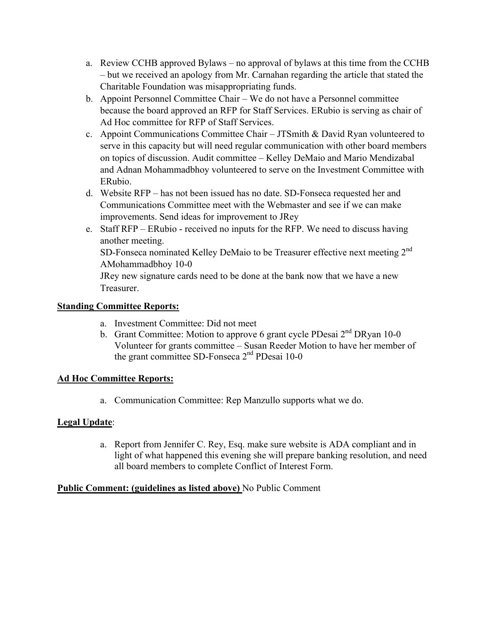- a. Review CCHB approved Bylaws no approval of bylaws at this time from the CCHB – but we received an apology from Mr. Carnahan regarding the article that stated the Charitable Foundation was misappropriating funds.
- b. Appoint Personnel Committee Chair We do not have a Personnel committee because the board approved an RFP for Staff Services. ERubio is serving as chair of Ad Hoc committee for RFP of Staff Services.
- c. Appoint Communications Committee Chair JTSmith & David Ryan volunteered to serve in this capacity but will need regular communication with other board members on topics of discussion. Audit committee – Kelley DeMaio and Mario Mendizabal and Adnan Mohammadbhoy volunteered to serve on the Investment Committee with ERubio.
- d. Website RFP has not been issued has no date. SD-Fonseca requested her and Communications Committee meet with the Webmaster and see if we can make improvements. Send ideas for improvement to JRey
- e. Staff RFP ERubio received no inputs for the RFP. We need to discuss having another meeting. SD-Fonseca nominated Kelley DeMaio to be Treasurer effective next meeting  $2<sup>nd</sup>$ AMohammadbhoy 10-0 JRey new signature cards need to be done at the bank now that we have a new

Treasurer.

## **Standing Committee Reports:**

- a. Investment Committee: Did not meet
- b. Grant Committee: Motion to approve 6 grant cycle PDesai 2<sup>nd</sup> DRyan 10-0 Volunteer for grants committee – Susan Reeder Motion to have her member of the grant committee SD-Fonseca 2nd PDesai 10-0

### **Ad Hoc Committee Reports:**

a. Communication Committee: Rep Manzullo supports what we do.

### **Legal Update**:

a. Report from Jennifer C. Rey, Esq. make sure website is ADA compliant and in light of what happened this evening she will prepare banking resolution, and need all board members to complete Conflict of Interest Form.

### **Public Comment: (guidelines as listed above)** No Public Comment